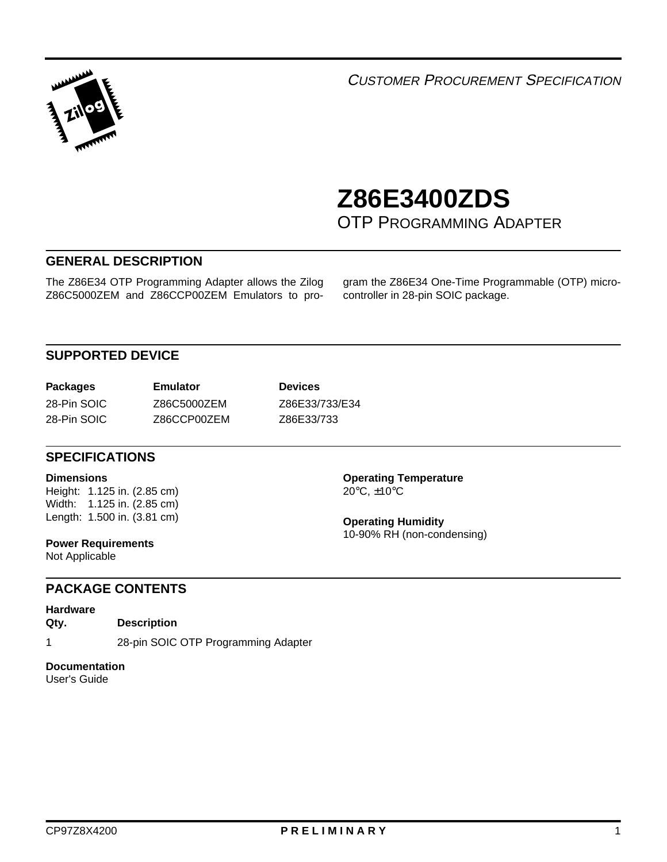

**1** <sup>C</sup>USTOMER PROCUREMENT SPECIFICATION

# **Z86E3400ZDS** <sup>1</sup>

OTP PROGRAMMING ADAPTER

## **GENERAL DESCRIPTION**

The Z86E34 OTP Programming Adapter allows the Zilog Z86C5000ZEM and Z86CCP00ZEM Emulators to program the Z86E34 One-Time Programmable (OTP) microcontroller in 28-pin SOIC package.

# **SUPPORTED DEVICE**

| <b>Packages</b> | Emulator    |
|-----------------|-------------|
| 28-Pin SOIC     | Z86C5000ZEM |
| 28-Pin SOIC     | Z86CCP00ZEM |

**Devices** Z86E33/733/E34 Z86E33/733

### **SPECIFICATIONS**

#### **Dimensions**

Height: 1.125 in. (2.85 cm) Width: 1.125 in. (2.85 cm) Length: 1.500 in. (3.81 cm)

**Power Requirements** Not Applicable

20°C, ±10°C

**Operating Temperature**

**Operating Humidity** 10-90% RH (non-condensing)

#### **PACKAGE CONTENTS**

**Hardware Qty. Description**

1 28-pin SOIC OTP Programming Adapter

#### **Documentation**

User's Guide